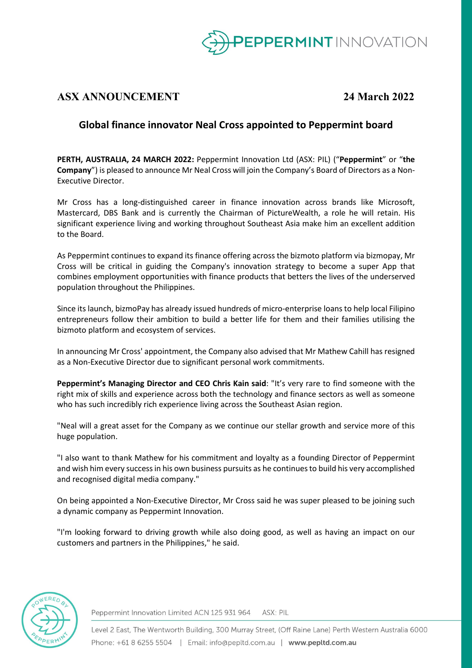

# **ASX ANNOUNCEMENT 24 March 2022**

## **Global finance innovator Neal Cross appointed to Peppermint board**

**PERTH, AUSTRALIA, 24 MARCH 2022:** Peppermint Innovation Ltd (ASX: PIL) ("**Peppermint**" or "**the Company**") is pleased to announce Mr Neal Cross will join the Company's Board of Directors as a Non-Executive Director.

Mr Cross has a long-distinguished career in finance innovation across brands like Microsoft, Mastercard, DBS Bank and is currently the Chairman of PictureWealth, a role he will retain. His significant experience living and working throughout Southeast Asia make him an excellent addition to the Board.

As Peppermint continues to expand its finance offering across the bizmoto platform via bizmopay, Mr Cross will be critical in guiding the Company's innovation strategy to become a super App that combines employment opportunities with finance products that betters the lives of the underserved population throughout the Philippines.

Since its launch, bizmoPay has already issued hundreds of micro-enterprise loans to help local Filipino entrepreneurs follow their ambition to build a better life for them and their families utilising the bizmoto platform and ecosystem of services.

In announcing Mr Cross' appointment, the Company also advised that Mr Mathew Cahill has resigned as a Non-Executive Director due to significant personal work commitments.

**Peppermint's Managing Director and CEO Chris Kain said**: "It's very rare to find someone with the right mix of skills and experience across both the technology and finance sectors as well as someone who has such incredibly rich experience living across the Southeast Asian region.

"Neal will a great asset for the Company as we continue our stellar growth and service more of this huge population.

"I also want to thank Mathew for his commitment and loyalty as a founding Director of Peppermint and wish him every success in his own business pursuits as he continues to build his very accomplished and recognised digital media company."

On being appointed a Non-Executive Director, Mr Cross said he was super pleased to be joining such a dynamic company as Peppermint Innovation.

"I'm looking forward to driving growth while also doing good, as well as having an impact on our customers and partners in the Philippines," he said.



Peppermint Innovation Limited ACN 125 931 964 ASX: PIL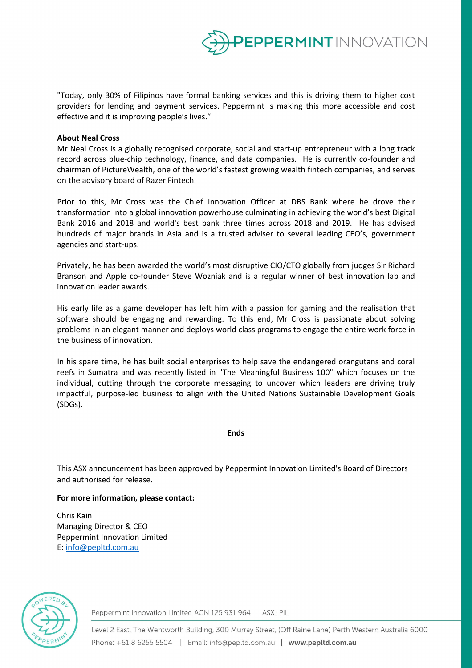

"Today, only 30% of Filipinos have formal banking services and this is driving them to higher cost providers for lending and payment services. Peppermint is making this more accessible and cost effective and it is improving people's lives."

#### **About Neal Cross**

Mr Neal Cross is a globally recognised corporate, social and start-up entrepreneur with a long track record across blue-chip technology, finance, and data companies. He is currently co-founder and chairman of PictureWealth, one of the world's fastest growing wealth fintech companies, and serves on the advisory board of Razer Fintech.

Prior to this, Mr Cross was the Chief Innovation Officer at DBS Bank where he drove their transformation into a global innovation powerhouse culminating in achieving the world's best Digital Bank 2016 and 2018 and world's best bank three times across 2018 and 2019. He has advised hundreds of major brands in Asia and is a trusted adviser to several leading CEO's, government agencies and start-ups.

Privately, he has been awarded the world's most disruptive CIO/CTO globally from judges Sir Richard Branson and Apple co-founder Steve Wozniak and is a regular winner of best innovation lab and innovation leader awards.

His early life as a game developer has left him with a passion for gaming and the realisation that software should be engaging and rewarding. To this end, Mr Cross is passionate about solving problems in an elegant manner and deploys world class programs to engage the entire work force in the business of innovation.

In his spare time, he has built social enterprises to help save the endangered orangutans and coral reefs in Sumatra and was recently listed in "The Meaningful Business 100" which focuses on the individual, cutting through the corporate messaging to uncover which leaders are driving truly impactful, purpose-led business to align with the United Nations Sustainable Development Goals (SDGs).

#### **Ends**

This ASX announcement has been approved by Peppermint Innovation Limited's Board of Directors and authorised for release.

#### **For more information, please contact:**

Chris Kain Managing Director & CEO Peppermint Innovation Limited E: [info@pepltd.com.au](mailto:info@pepltd.com.au)



Peppermint Innovation Limited ACN 125 931 964 ASX: PIL

Level 2 East, The Wentworth Building, 300 Murray Street, (Off Raine Lane) Perth Western Australia 6000 Phone: +61 8 6255 5504 | Email: info@pepltd.com.au | www.pepltd.com.au